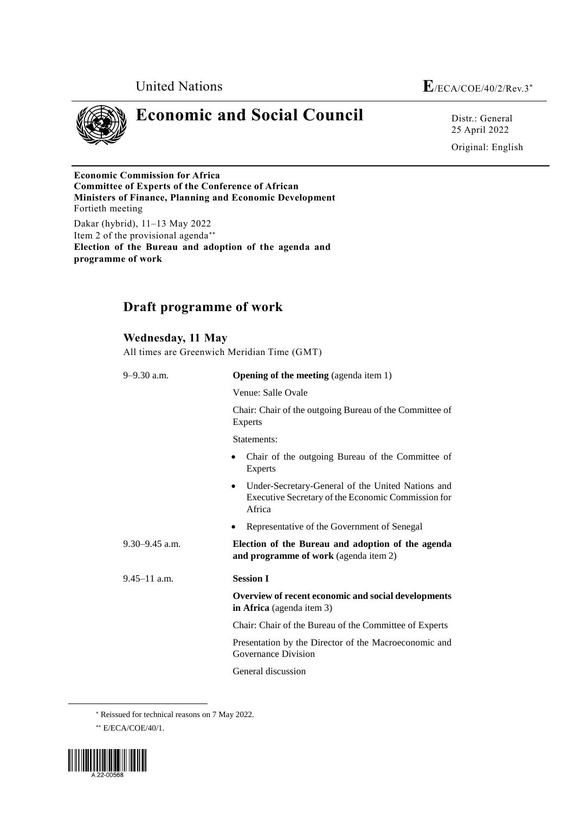



**programme of work**

## **Economic and Social Council** Distr.: General

25 April 2022 Original: English

**Economic Commission for Africa Committee of Experts of the Conference of African Ministers of Finance, Planning and Economic Development** Fortieth meeting Dakar (hybrid), 11–13 May 2022 Item 2 of the provisional agenda **Election of the Bureau and adoption of the agenda and** 

## **Draft programme of work**

**Wednesday, 11 May** All times are Greenwich Meridian Time (GMT)

| $9 - 9.30$ a.m.    | <b>Opening of the meeting</b> (agenda item 1)                                                                                  |
|--------------------|--------------------------------------------------------------------------------------------------------------------------------|
|                    | Venue: Salle Ovale                                                                                                             |
|                    | Chair: Chair of the outgoing Bureau of the Committee of<br>Experts                                                             |
|                    | Statements:                                                                                                                    |
|                    | Chair of the outgoing Bureau of the Committee of<br>٠<br><b>Experts</b>                                                        |
|                    | Under-Secretary-General of the United Nations and<br>$\bullet$<br>Executive Secretary of the Economic Commission for<br>Africa |
|                    | Representative of the Government of Senegal<br>٠                                                                               |
| $9.30 - 9.45$ a.m. | Election of the Bureau and adoption of the agenda<br>and programme of work (agenda item 2)                                     |
| $9.45 - 11$ a.m.   | <b>Session I</b>                                                                                                               |
|                    | Overview of recent economic and social developments<br>in Africa (agenda item 3)                                               |
|                    | Chair: Chair of the Bureau of the Committee of Experts                                                                         |
|                    | Presentation by the Director of the Macroeconomic and<br>Governance Division                                                   |
|                    | General discussion                                                                                                             |

Reissued for technical reasons on 7 May 2022.

E/ECA/COE/40/1.



 $\overline{a}$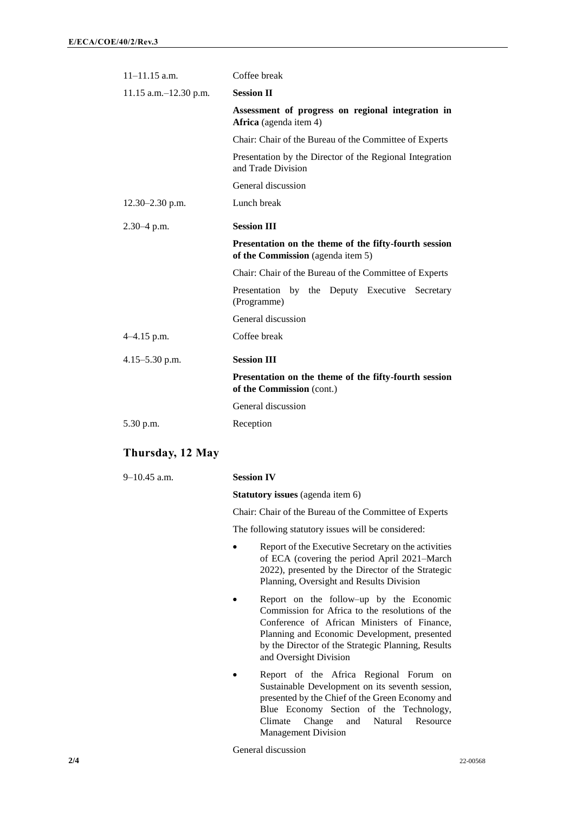| $11 - 11.15$ a.m.        | Coffee break                                                                               |
|--------------------------|--------------------------------------------------------------------------------------------|
| 11.15 a.m. $-12.30$ p.m. | <b>Session II</b>                                                                          |
|                          | Assessment of progress on regional integration in<br>Africa (agenda item 4)                |
|                          | Chair: Chair of the Bureau of the Committee of Experts                                     |
|                          | Presentation by the Director of the Regional Integration<br>and Trade Division             |
|                          | General discussion                                                                         |
| $12.30 - 2.30$ p.m.      | Lunch break                                                                                |
| $2.30 - 4$ p.m.          | <b>Session III</b>                                                                         |
|                          | Presentation on the theme of the fifty-fourth session<br>of the Commission (agenda item 5) |
|                          | Chair: Chair of the Bureau of the Committee of Experts                                     |
|                          | Presentation by the Deputy Executive Secretary<br>(Programme)                              |
|                          | General discussion                                                                         |
| $4-4.15$ p.m.            | Coffee break                                                                               |
| $4.15 - 5.30$ p.m.       | <b>Session III</b>                                                                         |
|                          | Presentation on the theme of the fifty-fourth session<br>of the Commission (cont.)         |
|                          | General discussion                                                                         |
| 5.30 p.m.                | Reception                                                                                  |

## **Thursday, 12 May**

| $9-10.45$ a.m. | <b>Session IV</b>                                                                                                                                                                                                                                                         |
|----------------|---------------------------------------------------------------------------------------------------------------------------------------------------------------------------------------------------------------------------------------------------------------------------|
|                | <b>Statutory issues</b> (agenda item 6)                                                                                                                                                                                                                                   |
|                | Chair: Chair of the Bureau of the Committee of Experts                                                                                                                                                                                                                    |
|                | The following statutory issues will be considered:                                                                                                                                                                                                                        |
|                | Report of the Executive Secretary on the activities<br>of ECA (covering the period April 2021–March<br>2022), presented by the Director of the Strategic<br>Planning, Oversight and Results Division                                                                      |
|                | Report on the follow-up by the Economic<br>Commission for Africa to the resolutions of the<br>Conference of African Ministers of Finance,<br>Planning and Economic Development, presented<br>by the Director of the Strategic Planning, Results<br>and Oversight Division |
|                | Report of the Africa Regional Forum on<br>Sustainable Development on its seventh session,<br>presented by the Chief of the Green Economy and<br>Blue Economy Section of the Technology,<br>Change and<br>Natural<br>Climate<br>Resource<br><b>Management Division</b>     |

General discussion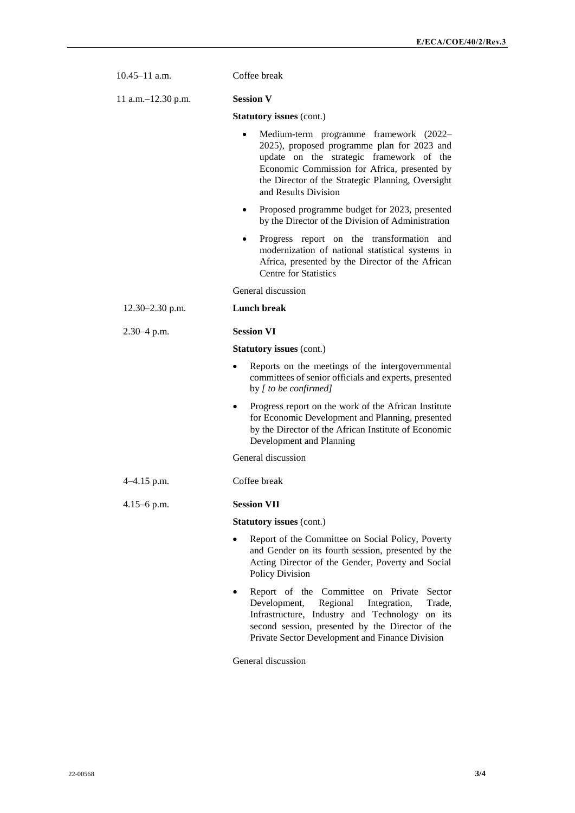| $10.45 - 11$ a.m.    | Coffee break                                                                                                                                                                                                                                                                |
|----------------------|-----------------------------------------------------------------------------------------------------------------------------------------------------------------------------------------------------------------------------------------------------------------------------|
| 11 a.m. - 12.30 p.m. | <b>Session V</b>                                                                                                                                                                                                                                                            |
|                      | <b>Statutory issues (cont.)</b>                                                                                                                                                                                                                                             |
|                      | Medium-term programme framework (2022–<br>$\bullet$<br>2025), proposed programme plan for 2023 and<br>update on the strategic framework of the<br>Economic Commission for Africa, presented by<br>the Director of the Strategic Planning, Oversight<br>and Results Division |
|                      | Proposed programme budget for 2023, presented<br>by the Director of the Division of Administration                                                                                                                                                                          |
|                      | Progress report on the transformation and<br>$\bullet$<br>modernization of national statistical systems in<br>Africa, presented by the Director of the African<br><b>Centre for Statistics</b>                                                                              |
|                      | General discussion                                                                                                                                                                                                                                                          |
| $12.30 - 2.30$ p.m.  | <b>Lunch break</b>                                                                                                                                                                                                                                                          |
| $2.30 - 4$ p.m.      | <b>Session VI</b>                                                                                                                                                                                                                                                           |
|                      | <b>Statutory issues (cont.)</b>                                                                                                                                                                                                                                             |
|                      | Reports on the meetings of the intergovernmental<br>$\bullet$<br>committees of senior officials and experts, presented<br>by [ to be confirmed]                                                                                                                             |
|                      | Progress report on the work of the African Institute<br>for Economic Development and Planning, presented<br>by the Director of the African Institute of Economic<br>Development and Planning                                                                                |
|                      | General discussion                                                                                                                                                                                                                                                          |
| $4-4.15$ p.m.        | Coffee break                                                                                                                                                                                                                                                                |
| $4.15 - 6$ p.m.      | <b>Session VII</b>                                                                                                                                                                                                                                                          |
|                      | <b>Statutory issues (cont.)</b>                                                                                                                                                                                                                                             |
|                      | Report of the Committee on Social Policy, Poverty<br>and Gender on its fourth session, presented by the<br>Acting Director of the Gender, Poverty and Social<br>Policy Division                                                                                             |
|                      | Report of the Committee<br>on Private<br>Sector<br>Regional<br>Development,<br>Integration,<br>Trade,<br>Infrastructure, Industry and Technology<br>on its<br>second session, presented by the Director of the<br>Private Sector Development and Finance Division           |
|                      | General discussion                                                                                                                                                                                                                                                          |